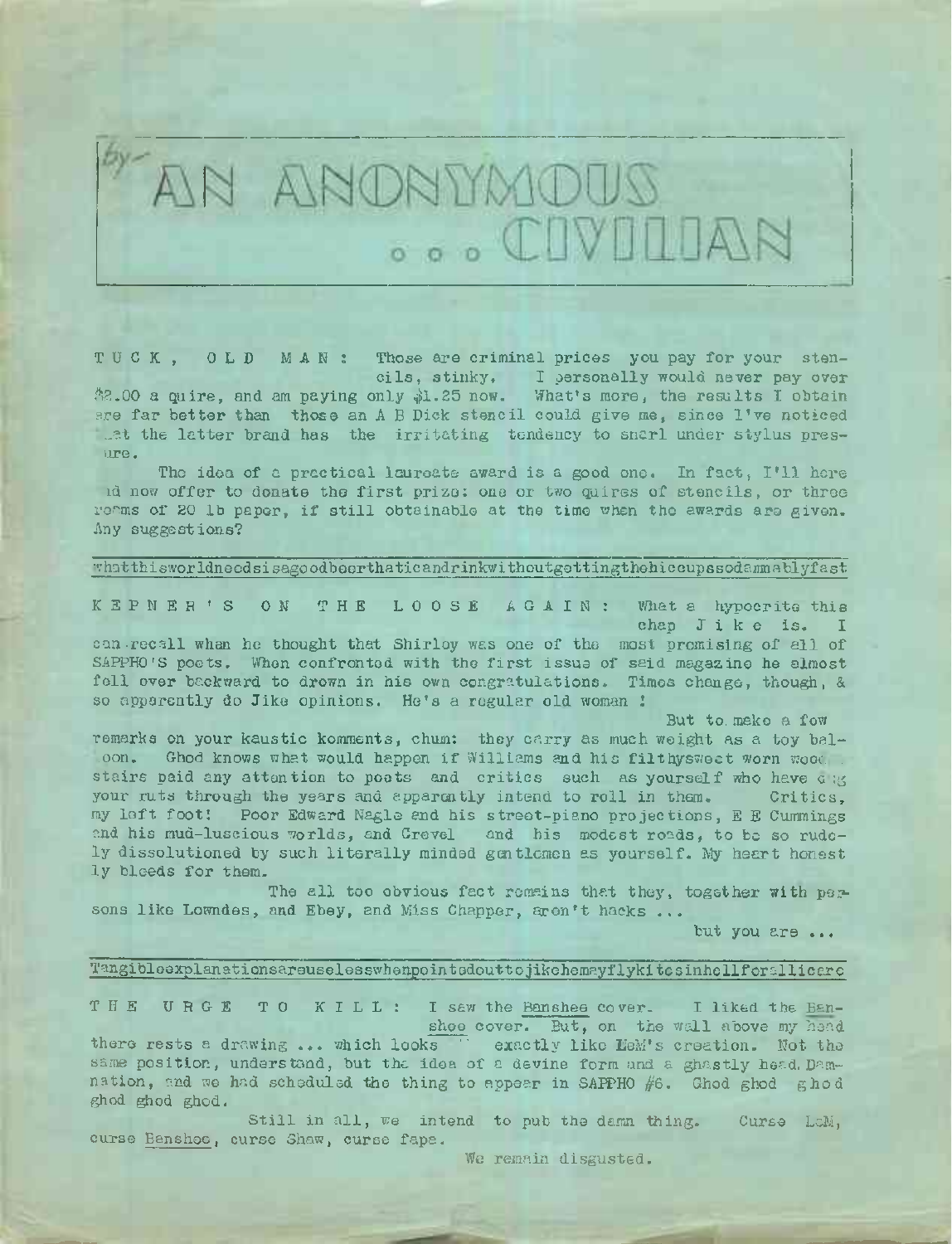

TUCK, OLD MAN: Those are criminal prices you pay for your stencils, stinky, I bersonally would never pay over

 $*2.00$  a quire, and am paying only  $*1.25$  now. What's more, the results I obtain ?re far better than those an <sup>A</sup> <sup>B</sup> Dick stencil could give me, since I've noticed at the latter brand has the irritating tendency to snarl under stylus presume.

The idea of a practical laureate award is a good one. In fact, I'll here id now offer to donate the first prize: one or two quires of stencils, or three reams of 20 lb paper, if still obtainable at the time when the awards are given. Any suggestions?

### •■.•hatthisworldneodsisagoodbeerthaticandrinkwithoutgettingthehiccupssodamnablyfast

K E P N E R \* S ON T H E LOOSE AGAIN: What a hypocrite this

chap Jike is. I<br>can-recall when he thought that Shirloy was one of the most promising of all of SAPPHO'S poets. When confronted with the first issue of said magazine he almost fell over backward to drown in his own congratulations. Times change, though, & so apparently do Jike opinions. He's a regular old woman !

But to. make a fow

remarks on your kaustic komments, chum: they carry as much weight as a toy bal-<br>con. Ghod knows what would happen if Williams and his filthysweet worn wood stairs paid any attention to poets and critics such as yourself who have c :g your ruts through the years and apparently intend to roll in them. Critics, my left foot! Poor Edward Nagle and his street-piano projections, <sup>E</sup> <sup>E</sup> Cummings and his mud-luscious worlds, and Crevel and his modest roads, to be so rudely dissolutioned by such literally minded gentlemen as yourself. My heart honest ly bleeds for them.

The all too obvious fact remains that they, together with persons like Lowndes, and Ebey, and Miss Chapper, aren't hacks ...

but you are ...

### Tangibleexplanationsareuselesswhenpointedouttojikehemayflykitesinhellforallicere

THE URGE TO KILL: <sup>I</sup> saw the Banshee cover. <sup>I</sup> liked the Banshee cover. But, on the wall above my head there rests <sup>a</sup> drawing ... which looks " exactly like LeM's creation. Not tho same position, understand, but the idea of a devine form and a ghastly head. Damnation, and we had scheduled the thing to appear in SAPPHO  $#6$ . Ghod ghod ghod ghod ghod ghod.

Still in all, we intend to pub the damn thing. Curse LaM, curse Banshee, curse Shaw, curse fapa.

We remain disgusted.